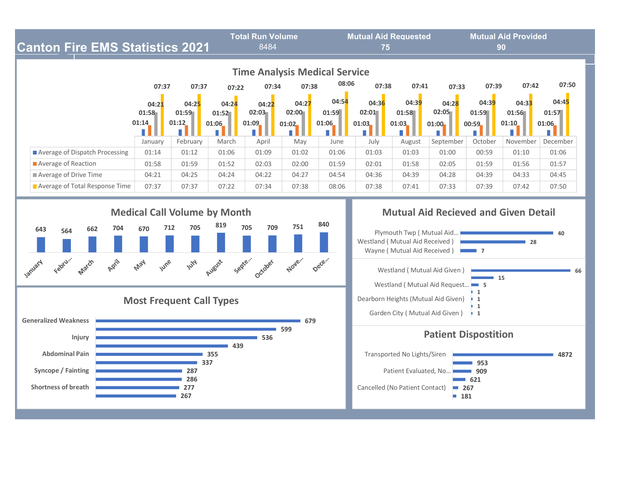